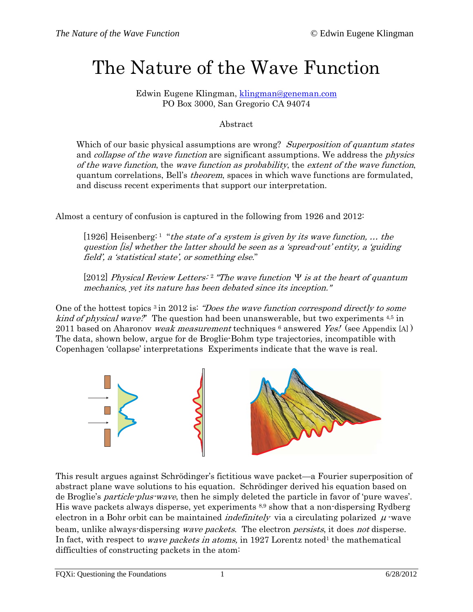# The Nature of the Wave Function

Edwin Eugene Klingman, [klingman@geneman.com](mailto:klingman@geneman.com) PO Box 3000, San Gregorio CA 94074

#### Abstract

Which of our basic physical assumptions are wrong? Superposition of quantum states and *collapse of the wave function* are significant assumptions. We address the *physics* of the wave function, the wave function as probability, the extent of the wave function, quantum correlations, Bell's theorem, spaces in which wave functions are formulated, and discuss recent experiments that support our interpretation.

Almost a century of confusion is captured in the following from 1926 and 2012:

[1926] Heisenberg: 1 "the state of a system is given by its wave function, ... the question [is] whether the latter should be seen as a 'spread-out' entity, a 'guiding field', a 'statistical state', or something else."

[2012] Physical Review Letters: <sup>2</sup> "The wave function  $\Psi$  is at the heart of quantum mechanics, yet its nature has been debated since its inception."

One of the hottest topics <sup>3</sup> in 2012 is: *"Does the wave function correspond directly to some* kind of physical wave?" The question had been unanswerable, but two experiments 4,5 in 2011 based on Aharonov *weak measurement* techniques  $\epsilon$  answered *Yes!* (see Appendix [A]) The data, shown below, argue for de Broglie-Bohm type trajectories, incompatible with Copenhagen 'collapse' interpretations Experiments indicate that the wave is real.



This result argues against Schrödinger's fictitious wave packet—a Fourier superposition of abstract plane wave solutions to his equation. Schrödinger derived his equation based on de Broglie's particle-plus-wave, then he simply deleted the particle in favor of 'pure waves'. His wave packets always disperse, yet experiments 8,9 show that a non-dispersing Rydberg electron in a Bohr orbit can be maintained *indefinitely* via a circulating polarized  $\mu$  -wave beam, unlike always-dispersing *wave packets*. The electron *persists*, it does *not* disperse. In fact, with respect to *wave packets in atoms*, in 1927 Lorentz noted<sup>1</sup> the mathematical difficulties of constructing packets in the atom: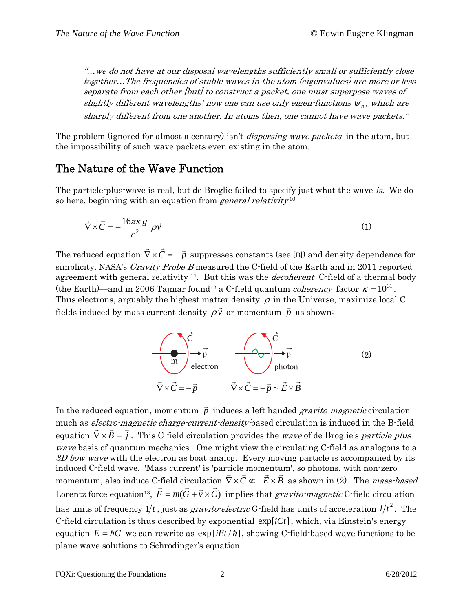"…we do not have at our disposal wavelengths sufficiently small or sufficiently close together…The frequencies of stable waves in the atom (eigenvalues) are more or less separate from each other [but] to construct a packet, one must superpose waves of slightly different wavelengths: now one can use only eigen-functions  $\psi_n$ , which are sharply different from one another. In atoms then, one cannot have wave packets."

The problem (ignored for almost a century) isn't *dispersing wave packets* in the atom, but the impossibility of such wave packets even existing in the atom.

### The Nature of the Wave Function

The particle-plus-wave is real, but de Broglie failed to specify just what the wave is. We do so here, beginning with an equation from *general relativity*  $10^{-1}$ 

$$
\vec{\nabla} \times \vec{C} = -\frac{16\pi\kappa g}{c^2} \rho \vec{v}
$$
 (1)

The reduced equation  $\vec{\nabla}\times\vec{C}=-\vec{p}$  suppresses constants (see [B]) and density dependence for simplicity. NASA's *Gravity Probe B* measured the C-field of the Earth and in 2011 reported agreement with general relativity  $11$ . But this was the *decoherent* C-field of a thermal body (the Earth)—and in 2006 Tajmar found<sup>12</sup> a C-field quantum *coherency* factor  $\kappa = 10^{31}$ . Thus electrons, arguably the highest matter density  $\rho$  in the Universe, maximize local Cfields induced by mass current density  $\rho \vec{v}$  or momentum  $\vec{p}$  as shown:



In the reduced equation, momentum  $\vec{p}$  induces a left handed *gravito-magnetic* circulation much as *electro-magnetic charge-current-density*-based circulation is induced in the B-field equation  $\vec{\nabla} \times \vec{B} = \vec{j}$ . This C-field circulation provides the *wave* of de Broglie's *particle-plus*wave basis of quantum mechanics. One might view the circulating C-field as analogous to a  $3D$  bow wave with the electron as boat analog. Every moving particle is accompanied by its induced C-field wave. 'Mass current' is 'particle momentum', so photons, with non-zero momentum, also induce C-field circulation  $\vec{\nabla} \times \vec{C} \propto -\vec{E} \times \vec{B}$  as shown in (2). The *mass-based* Lorentz force equation<sup>13</sup>,  $\vec{F} = m(\vec{G} + \vec{v} \times \vec{C})$  implies that *gravito-magnetic* C-field circulation has units of frequency  $1/t$  , just as *gravito-electric* G-field has units of acceleration  $1/t^2$  . The C-field circulation is thus described by exponential  $exp[iCt]$ , which, via Einstein's energy equation  $E = \hbar C$  we can rewrite as  $\exp[iEt/\hbar]$ , showing C-field-based wave functions to be plane wave solutions to Schrödinger's equation.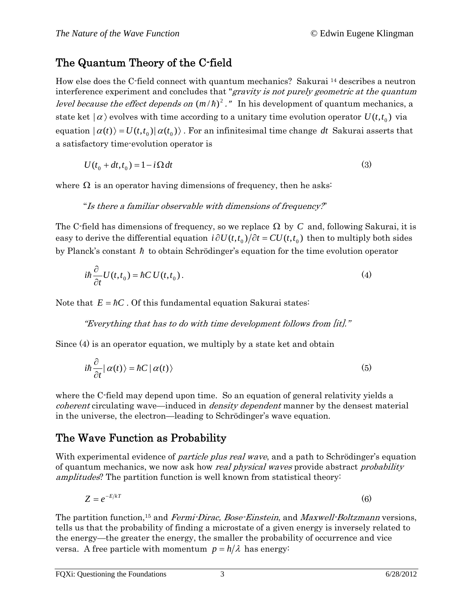### The Quantum Theory of the C-field

How else does the C-field connect with quantum mechanics? Sakurai 14 describes a neutron interference experiment and concludes that "gravity is not purely geometric at the quantum *level because the effect depends on*  $(m/h)^2$ ." In his development of quantum mechanics, a state ket  $|\alpha\rangle$  evolves with time according to a unitary time evolution operator  $U(t,t_0)$  via equation  $|\alpha(t)\rangle = U(t,t_0)|\alpha(t_0)\rangle$ . For an infinitesimal time change dt Sakurai asserts that a satisfactory time-evolution operator is

$$
U(t_0 + dt, t_0) = 1 - i\Omega dt
$$
 (3)

where  $\Omega$  is an operator having dimensions of frequency, then he asks:

"Is there a familiar observable with dimensions of frequency?"

The C-field has dimensions of frequency, so we replace  $\Omega$  by C and, following Sakurai, it is easy to derive the differential equation  $i \partial U(t, t_0)/\partial t = CU(t, t_0)$  then to multiply both sides by Planck's constant  $\hbar$  to obtain Schrödinger's equation for the time evolution operator

$$
i\hbar \frac{\partial}{\partial t} U(t, t_0) = \hbar C U(t, t_0).
$$
 (4)

Note that  $E = \hbar C$ . Of this fundamental equation Sakurai states:

"Everything that has to do with time development follows from [it]."

Since (4) is an operator equation, we multiply by a state ket and obtain

$$
i\hbar \frac{\partial}{\partial t} |\alpha(t)\rangle = \hbar C |\alpha(t)\rangle
$$
 (5)

where the C-field may depend upon time. So an equation of general relativity yields a *coherent* circulating wave—induced in *density dependent* manner by the densest material in the universe, the electron—leading to Schrödinger's wave equation.

### The Wave Function as Probability

With experimental evidence of *particle plus real wave*, and a path to Schrödinger's equation of quantum mechanics, we now ask how *real physical waves* provide abstract *probability* amplitudes? The partition function is well known from statistical theory:

$$
Z = e^{-E/kT} \tag{6}
$$

The partition function,<sup>15</sup> and *Fermi-Dirac, Bose-Einstein*, and *Maxwell-Boltzmann* versions, tells us that the probability of finding a microstate of a given energy is inversely related to the energy—the greater the energy, the smaller the probability of occurrence and vice versa. A free particle with momentum  $p = h/\lambda$  has energy: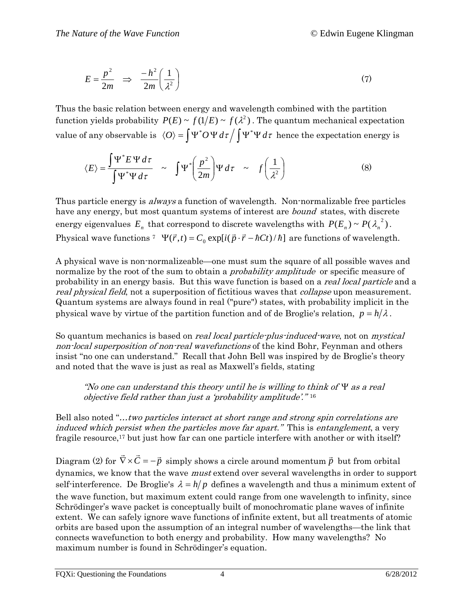$$
E = \frac{p^2}{2m} \Rightarrow \frac{-h^2}{2m} \left(\frac{1}{\lambda^2}\right) \tag{7}
$$

Thus the basic relation between energy and wavelength combined with the partition function yields probability  $P(E) \sim f(1/E) \sim f(\lambda^2)$ . The quantum mechanical expectation value of any observable is  $\langle O \rangle = \int \Psi^* O \Psi d\tau / \int \Psi^* \Psi d\tau$  hence the expectation energy is

$$
\langle E \rangle = \frac{\int \Psi^* E \Psi d\tau}{\int \Psi^* \Psi d\tau} \sim \int \Psi^* \left(\frac{p^2}{2m}\right) \Psi d\tau \sim f\left(\frac{1}{\lambda^2}\right) \tag{8}
$$

Thus particle energy is *always* a function of wavelength. Non-normalizable free particles have any energy, but most quantum systems of interest are *bound* states, with discrete energy eigenvalues  $E_n$  that correspond to discrete wavelengths with  $P(E_n) \sim P(\lambda_n^2)$ . Physical wave functions <sup>7</sup>  $\Psi(\vec{r},t) = C_0 \exp[i(\vec{p} \cdot \vec{r} - \hbar C t)/\hbar]$  are functions of wavelength.

A physical wave is non-normalizeable—one must sum the square of all possible waves and normalize by the root of the sum to obtain a *probability amplitude* or specific measure of probability in an energy basis. But this wave function is based on a *real local particle* and a real physical field, not a superposition of fictitious waves that *collapse* upon measurement. Quantum systems are always found in real ("pure") states, with probability implicit in the physical wave by virtue of the partition function and of de Broglie's relation,  $p = h/\lambda$ .

So quantum mechanics is based on *real local particle-plus-induced-wave*, not on *mystical* non-local superposition of non-real wavefunctions of the kind Bohr, Feynman and others insist "no one can understand." Recall that John Bell was inspired by de Broglie's theory and noted that the wave is just as real as Maxwell's fields, stating

"No one can understand this theory until he is willing to think of  $\Psi$  as a real objective field rather than just a 'probability amplitude'."<sup>16</sup>

Bell also noted "...two particles interact at short range and strong spin correlations are induced which persist when the particles move far apart." This is entanglement, a very fragile resource,<sup>17</sup> but just how far can one particle interfere with another or with itself?

Diagram (2) for  $\vec{\nabla} \times \vec{C} = -\vec{p}$  simply shows a circle around momentum  $\vec{p}$  but from orbital dynamics, we know that the wave must extend over several wavelengths in order to support self-interference. De Broglie's  $\lambda = h/p$  defines a wavelength and thus a minimum extent of the wave function, but maximum extent could range from one wavelength to infinity, since Schrödinger's wave packet is conceptually built of monochromatic plane waves of infinite extent. We can safely ignore wave functions of infinite extent, but all treatments of atomic orbits are based upon the assumption of an integral number of wavelengths—the link that connects wavefunction to both energy and probability. How many wavelengths? No maximum number is found in Schrödinger's equation.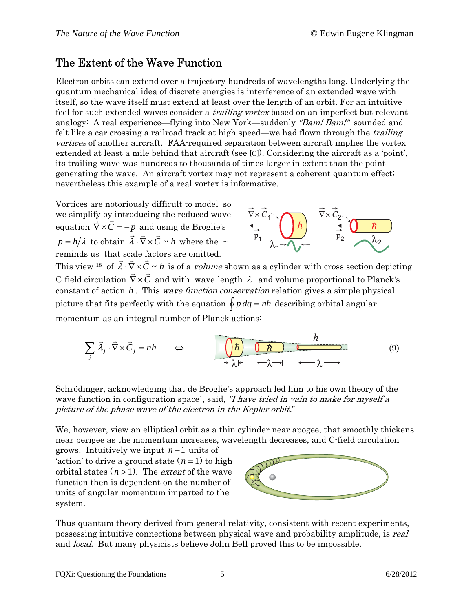### The Extent of the Wave Function

Electron orbits can extend over a trajectory hundreds of wavelengths long. Underlying the quantum mechanical idea of discrete energies is interference of an extended wave with itself, so the wave itself must extend at least over the length of an orbit. For an intuitive feel for such extended waves consider a *trailing vortex* based on an imperfect but relevant analogy: A real experience—flying into New York—suddenly "Bam! Bam!" sounded and felt like a car crossing a railroad track at high speed—we had flown through the *trailing* vortices of another aircraft. FAA-required separation between aircraft implies the vortex extended at least a mile behind that aircraft (see [C]). Considering the aircraft as a 'point', its trailing wave was hundreds to thousands of times larger in extent than the point generating the wave. An aircraft vortex may not represent a coherent quantum effect; nevertheless this example of a real vortex is informative.

Vortices are notoriously difficult to model so we simplify by introducing the reduced wave equation  $\vec{\nabla} \times \vec{C} = -\vec{p}$  and using de Broglie's  $p = h/\lambda$  to obtain  $\vec{\lambda} \cdot \vec{\nabla} \times \vec{C} \sim h$  where the  $\sim$ reminds us that scale factors are omitted.



This view <sup>18</sup> of  $\vec{\lambda} \cdot \vec{\nabla} \times \vec{C} \sim h$  is of a *volume* shown as a cylinder with cross section depicting C-field circulation  $\vec{\nabla} \times \vec{C}$  and with wave-length  $\lambda$  and volume proportional to Planck's constant of action h. This wave function conservation relation gives a simple physical picture that fits perfectly with the equation  $\oint p \, dq = nh$  describing orbital angular momentum as an integral number of Planck actions:

$$
\sum_{j} \vec{\lambda}_{j} \cdot \vec{\nabla} \times \vec{C}_{j} = nh \qquad \Leftrightarrow \qquad \qquad \underbrace{\left(\frac{\hbar}{\hbar}\right)}_{\text{H}} \underbrace{\left(\frac{\hbar}{\hbar}\right)}_{\text{H}} \underbrace{\left(\frac{\hbar}{\hbar}\right)}_{\text{H}} \underbrace{\left(\frac{\hbar}{\hbar}\right)}_{\text{H}} \underbrace{\left(\frac{\hbar}{\hbar}\right)}_{\text{H}} \underbrace{\left(\frac{\hbar}{\hbar}\right)}_{\text{H}} \underbrace{\left(\frac{\hbar}{\hbar}\right)}_{\text{H}} \underbrace{\left(\frac{\hbar}{\hbar}\right)}_{\text{H}} \underbrace{\left(\frac{\hbar}{\hbar}\right)}_{\text{H}} \underbrace{\left(\frac{\hbar}{\hbar}\right)}_{\text{H}} \underbrace{\left(\frac{\hbar}{\hbar}\right)}_{\text{H}} \underbrace{\left(\frac{\hbar}{\hbar}\right)}_{\text{H}} \underbrace{\left(\frac{\hbar}{\hbar}\right)}_{\text{H}} \underbrace{\left(\frac{\hbar}{\hbar}\right)}_{\text{H}} \underbrace{\left(\frac{\hbar}{\hbar}\right)}_{\text{H}} \underbrace{\left(\frac{\hbar}{\hbar}\right)}_{\text{H}} \underbrace{\left(\frac{\hbar}{\hbar}\right)}_{\text{H}} \underbrace{\left(\frac{\hbar}{\hbar}\right)}_{\text{H}} \underbrace{\left(\frac{\hbar}{\hbar}\right)}_{\text{H}} \underbrace{\left(\frac{\hbar}{\hbar}\right)}_{\text{H}} \underbrace{\left(\frac{\hbar}{\hbar}\right)}_{\text{H}} \underbrace{\left(\frac{\hbar}{\hbar}\right)}_{\text{H}} \underbrace{\left(\frac{\hbar}{\hbar}\right)}_{\text{H}} \underbrace{\left(\frac{\hbar}{\hbar}\right)}_{\text{H}} \underbrace{\left(\frac{\hbar}{\hbar}\right)}_{\text{H}} \underbrace{\left(\frac{\hbar}{\hbar}\right)}_{\text{H}} \underbrace{\left(\frac{\hbar}{\hbar}\right)}_{\text{H}} \underbrace{\left(\frac{\hbar}{\hbar}\right)}_{\text{H}} \underbrace{\left(\frac{\hbar}{\hbar}\right)}_{\text{H}} \underbrace{\left(\frac{\hbar}{\hbar}\right)}_{\text{H}} \underbrace{\left(\frac{\hbar}{\hbar}\right)}_{\text{H}} \
$$

Schrödinger, acknowledging that de Broglie's approach led him to his own theory of the wave function in configuration space<sup>1</sup>, said, "I have tried in vain to make for myself a picture of the phase wave of the electron in the Kepler orbit."

We, however, view an elliptical orbit as a thin cylinder near apogee, that smoothly thickens near perigee as the momentum increases, wavelength decreases, and C-field circulation

grows. Intuitively we input  $n-1$  units of 'action' to drive a ground state  $(n=1)$  to high orbital states  $(n > 1)$ . The *extent* of the wave function then is dependent on the number of units of angular momentum imparted to the system.



Thus quantum theory derived from general relativity, consistent with recent experiments, possessing intuitive connections between physical wave and probability amplitude, is real and local. But many physicists believe John Bell proved this to be impossible.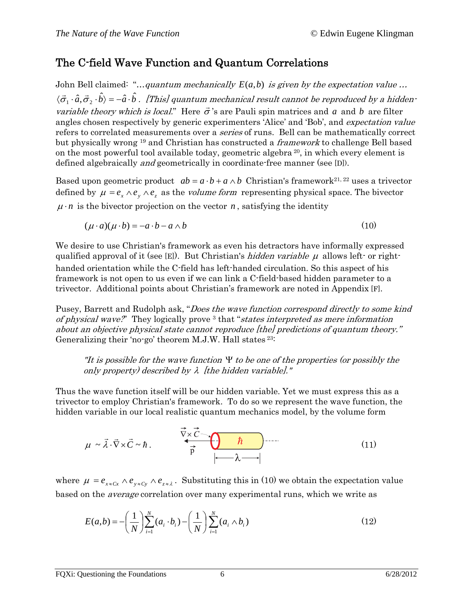### The C-field Wave Function and Quantum Correlations

John Bell claimed: "...quantum mechanically  $E(a,b)$  is given by the expectation value ...  $\langle\vec{\sigma}_1\cdot\hat{a},\vec{\sigma}_2\cdot\hat{b}\rangle$  =  $-\hat{a}\cdot\hat{b}$  . [This] quantum mechanical result cannot be reproduced by a hiddenvariable theory which is local." Here  $\vec{\sigma}$ 's are Pauli spin matrices and a and b are filter angles chosen respectively by generic experimenters 'Alice' and 'Bob', and expectation value refers to correlated measurements over a *series* of runs. Bell can be mathematically correct but physically wrong <sup>19</sup> and Christian has constructed a *framework* to challenge Bell based on the most powerful tool available today, geometric algebra 20, in which every element is defined algebraically and geometrically in coordinate-free manner (see [D]).

Based upon geometric product  $ab = a \cdot b + a \wedge b$  Christian's framework<sup>21, 22</sup> uses a trivector defined by  $\mu = e_x \wedge e_y \wedge e_z$  as the *volume form* representing physical space. The bivector  $\mu \cdot n$  is the bivector projection on the vector *n*, satisfying the identity

 $(\mu \cdot a)(\mu \cdot b) = -a \cdot b - a \wedge b$  (10)

We desire to use Christian's framework as even his detractors have informally expressed qualified approval of it (see [E]). But Christian's *hidden variable*  $\mu$  allows left- or righthanded orientation while the C-field has left-handed circulation. So this aspect of his framework is not open to us even if we can link a C-field-based hidden parameter to a trivector. Additional points about Christian's framework are noted in Appendix [F].

Pusey, Barrett and Rudolph ask, "*Does the wave function correspond directly to some kind* of physical wave?" They logically prove  $3$  that "states interpreted as mere information about an objective physical state cannot reproduce [the] predictions of quantum theory." Generalizing their 'no-go' theorem M.J.W. Hall states 23:

"It is possible for the wave function  $\Psi$  to be one of the properties (or possibly the only property) described by  $\lambda$  [the hidden variable]."

Thus the wave function itself will be our hidden variable. Yet we must express this as a trivector to employ Christian's framework. To do so we represent the wave function, the hidden variable in our local realistic quantum mechanics model, by the volume form

$$
\mu \sim \vec{\lambda} \cdot \vec{\nabla} \times \vec{C} \sim \hbar.
$$
 (11)

where  $\mu = e_{x \leq C_x} \wedge e_{y \leq C_y} \wedge e_{z \leq \lambda}$ . Substituting this in (10) we obtain the expectation value based on the average correlation over many experimental runs, which we write as

$$
E(a,b) = -\left(\frac{1}{N}\right) \sum_{i=1}^{N} (a_i \cdot b_i) - \left(\frac{1}{N}\right) \sum_{i=1}^{N} (a_i \wedge b_i)
$$
 (12)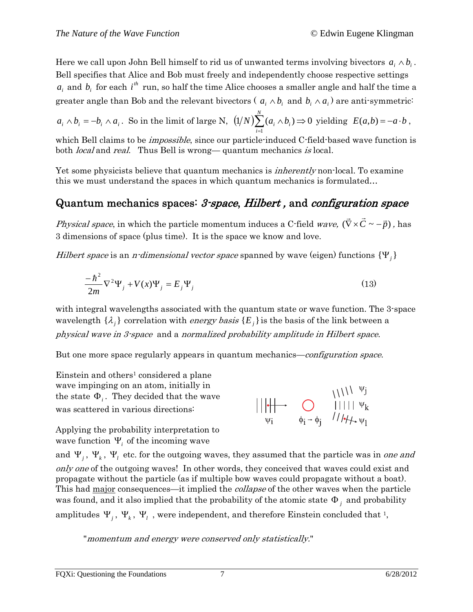Here we call upon John Bell himself to rid us of unwanted terms involving bivectors  $a_i \wedge b_i$ . Bell specifies that Alice and Bob must freely and independently choose respective settings  $a_i$  and  $b_i$  for each  $i^{\text{th}}$  run, so half the time Alice chooses a smaller angle and half the time a greater angle than Bob and the relevant bivectors ( $a_i \wedge b_i$  and  $b_i \wedge a_i$ ) are anti-symmetric<sup>:</sup>

 $a_i \wedge b_i = -b_i \wedge a_i$ . So in the limit of large N,  $\left(\frac{1}{N}\right) \sum_{i} (a_i \wedge b_i) \Rightarrow 0$  $\sum_{i=1}^N (a_i \wedge$  $a_i \wedge b$ *i* yielding  $E(a,b) = -a \cdot b$ ,

which Bell claims to be *impossible*, since our particle-induced C-field-based wave function is both *local* and *real.* Thus Bell is wrong—quantum mechanics is local.

Yet some physicists believe that quantum mechanics is *inherently* non-local. To examine this we must understand the spaces in which quantum mechanics is formulated…

### Quantum mechanics spaces: 3-space, Hilbert , and configuration space

*Physical space*, in which the particle momentum induces a C-field *wave,*  $(\vec{\nabla} \times \vec{C} \sim -\vec{p})$  , has 3 dimensions of space (plus time). It is the space we know and love.

Hilbert space is an *n*-dimensional vector space spanned by wave (eigen) functions  $\{ \Psi_i \}$ 

$$
\frac{-\hbar^2}{2m}\nabla^2\Psi_j + V(x)\Psi_j = E_j\Psi_j
$$
\n(13)

with integral wavelengths associated with the quantum state or wave function. The 3-space wavelength  $\{\lambda_j\}$  correlation with *energy basis*  $\{E_j\}$  is the basis of the link between a physical wave in 3-space and a normalized probability amplitude in Hilbert space.

But one more space regularly appears in quantum mechanics—configuration space.

Einstein and others<sup>1</sup> considered a plane wave impinging on an atom, initially in the state  $\Phi_i$ . They decided that the wave was scattered in various directions:

Applying the probability interpretation to wave function  $\Psi_i$  of the incoming wave

and  $\Psi_j$ ,  $\Psi_k$ ,  $\Psi_l$  etc. for the outgoing waves, they assumed that the particle was in one and only one of the outgoing waves! In other words, they conceived that waves could exist and propagate without the particle (as if multiple bow waves could propagate without a boat). This had major consequences—it implied the *collapse* of the other waves when the particle was found, and it also implied that the probability of the atomic state  $\Phi_j$  and probability amplitudes  $\Psi_j$ ,  $\Psi_k$ ,  $\Psi_l$ , were independent, and therefore Einstein concluded that <sup>1</sup>,

 $||\|\cdot|| \rightarrow \bigcirc_{\psi_i}$ <br>  $||\|\cdot|| \rightarrow \bigcirc_{\psi_i \rightarrow \phi_j}$ <br>  $||\|\cdot|| \vee_k$ <br>  $||\psi_i \rightarrow \phi_i \rightarrow \phi_j$ 

"momentum and energy were conserved only statistically."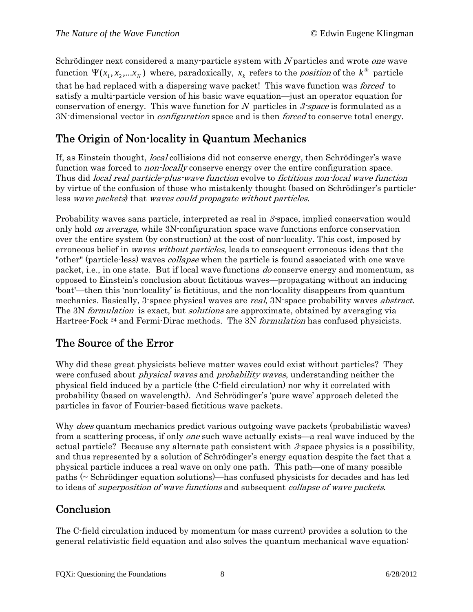Schrödinger next considered a many-particle system with N particles and wrote *one* wave function  $\Psi(x_1, x_2, \ldots, x_N)$  where, paradoxically,  $x_k$  refers to the *position* of the  $k^{th}$  particle that he had replaced with a dispersing wave packet! This wave function was forced to satisfy a multi-particle version of his basic wave equation—just an operator equation for conservation of energy. This wave function for N particles in 3-space is formulated as a 3N-dimensional vector in *configuration* space and is then *forced* to conserve total energy.

### The Origin of Non-locality in Quantum Mechanics

If, as Einstein thought, local collisions did not conserve energy, then Schrödinger's wave function was forced to *non-locally* conserve energy over the entire configuration space. Thus did local real particle-plus-wave function evolve to fictitious non-local wave function by virtue of the confusion of those who mistakenly thought (based on Schrödinger's particleless wave packets) that waves could propagate without particles.

Probability waves sans particle, interpreted as real in  $\beta$  space, implied conservation would only hold *on average*, while 3N-configuration space wave functions enforce conservation over the entire system (by construction) at the cost of non-locality. This cost, imposed by erroneous belief in *waves without particles*, leads to consequent erroneous ideas that the "other" (particle-less) waves *collapse* when the particle is found associated with one wave packet, i.e., in one state. But if local wave functions do conserve energy and momentum, as opposed to Einstein's conclusion about fictitious waves—propagating without an inducing 'boat'—then this 'non-locality' is fictitious, and the non-locality disappears from quantum mechanics. Basically, 3-space physical waves are *real*, 3N-space probability waves *abstract*. The 3N *formulation* is exact, but *solutions* are approximate, obtained by averaging via Hartree-Fock <sup>24</sup> and Fermi-Dirac methods. The 3N *formulation* has confused physicists.

### The Source of the Error

Why did these great physicists believe matter waves could exist without particles? They were confused about *physical waves* and *probability waves*, understanding neither the physical field induced by a particle (the C-field circulation) nor why it correlated with probability (based on wavelength). And Schrödinger's 'pure wave' approach deleted the particles in favor of Fourier-based fictitious wave packets.

Why *does* quantum mechanics predict various outgoing wave packets (probabilistic waves) from a scattering process, if only *one* such wave actually exists—a real wave induced by the actual particle? Because any alternate path consistent with  $\mathcal{S}$  space physics is a possibility, and thus represented by a solution of Schrödinger's energy equation despite the fact that a physical particle induces a real wave on only one path. This path—one of many possible paths (~ Schrödinger equation solutions)—has confused physicists for decades and has led to ideas of *superposition of wave functions* and subsequent *collapse of wave packets*.

### **Conclusion**

The C-field circulation induced by momentum (or mass current) provides a solution to the general relativistic field equation and also solves the quantum mechanical wave equation: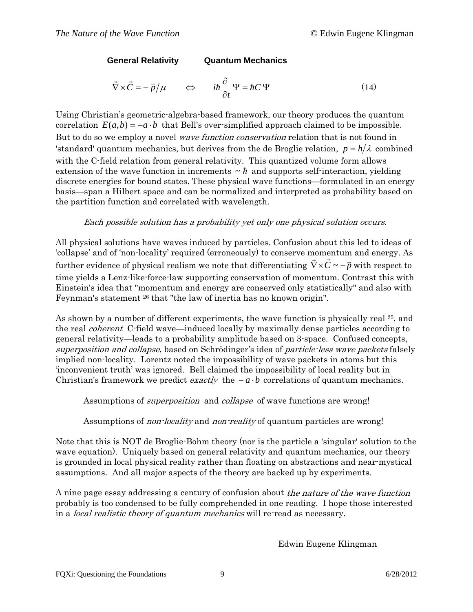**General Relativity Quantum Mechanics** 

$$
\vec{\nabla} \times \vec{C} = -\vec{p}/\mu \qquad \Leftrightarrow \qquad i\hbar \frac{\partial}{\partial t} \Psi = \hbar C \Psi \tag{14}
$$

Using Christian's geometric-algebra-based framework, our theory produces the quantum correlation  $E(a,b) = -a \cdot b$  that Bell's over-simplified approach claimed to be impossible. But to do so we employ a novel *wave function conservation* relation that is not found in 'standard' quantum mechanics, but derives from the de Broglie relation,  $p = h/\lambda$  combined with the C-field relation from general relativity. This quantized volume form allows extension of the wave function in increments  $\sim \hbar$  and supports self-interaction, yielding discrete energies for bound states. These physical wave functions—formulated in an energy basis—span a Hilbert space and can be normalized and interpreted as probability based on the partition function and correlated with wavelength.

#### Each possible solution has a probability yet only one physical solution occurs.

All physical solutions have waves induced by particles. Confusion about this led to ideas of 'collapse' and of 'non-locality' required (erroneously) to conserve momentum and energy. As further evidence of physical realism we note that differentiating  $\vec{\nabla} \times \vec{C} \sim -\vec{p}$  with respect to time yields a Lenz-like-force-law supporting conservation of momentum. Contrast this with Einstein's idea that "momentum and energy are conserved only statistically" and also with Feynman's statement 26 that "the law of inertia has no known origin".

As shown by a number of different experiments, the wave function is physically real <sup>25</sup>, and the real coherent C-field wave—induced locally by maximally dense particles according to general relativity—leads to a probability amplitude based on 3-space. Confused concepts, superposition and collapse, based on Schrödinger's idea of particle-less wave packets falsely implied non-locality. Lorentz noted the impossibility of wave packets in atoms but this 'inconvenient truth' was ignored. Bell claimed the impossibility of local reality but in Christian's framework we predict *exactly* the  $-a \cdot b$  correlations of quantum mechanics.

Assumptions of *superposition* and *collapse* of wave functions are wrong!

#### Assumptions of *non-locality* and *non-reality* of quantum particles are wrong!

Note that this is NOT de Broglie-Bohm theory (nor is the particle a 'singular' solution to the wave equation). Uniquely based on general relativity and quantum mechanics, our theory is grounded in local physical reality rather than floating on abstractions and near-mystical assumptions. And all major aspects of the theory are backed up by experiments.

A nine page essay addressing a century of confusion about the nature of the wave function probably is too condensed to be fully comprehended in one reading. I hope those interested in a *local realistic theory of quantum mechanics* will re-read as necessary.

Edwin Eugene Klingman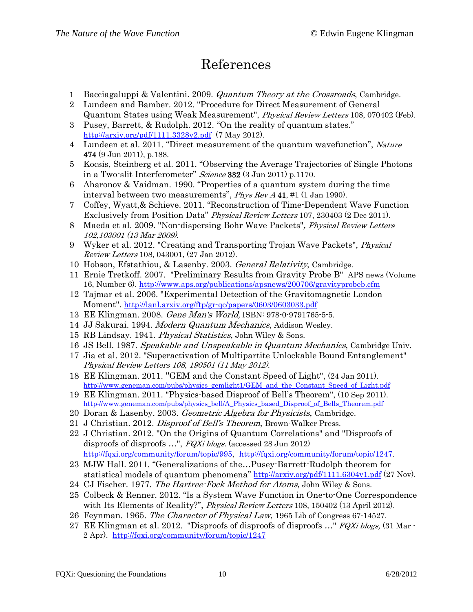## References

- 1 Bacciagaluppi & Valentini. 2009. *Quantum Theory at the Crossroads*, Cambridge.
- 2 Lundeen and Bamber. 2012. "Procedure for Direct Measurement of General Quantum States using Weak Measurement", Physical Review Letters 108, 070402 (Feb).
- 3 Pusey, Barrett, & Rudolph. 2012. "On the reality of quantum states." <http://arxiv.org/pdf/1111.3328v2.pdf> (7 May 2012).
- 4 Lundeen et al. 2011. "Direct measurement of the quantum wavefunction", Nature 474 (9 Jun 2011), p.188.
- 5 Kocsis, Steinberg et al. 2011. "Observing the Average Trajectories of Single Photons in a Two-slit Interferometer" Science 332 (3 Jun 2011) p.1170.
- 6 Aharonov & Vaidman. 1990. "Properties of a quantum system during the time interval between two measurements", Phys Rev A 41, #1 (1 Jan 1990).
- 7 Coffey, Wyatt,& Schieve. 2011. "Reconstruction of Time-Dependent Wave Function Exclusively from Position Data" Physical Review Letters 107, 230403 (2 Dec 2011).
- 8 Maeda et al. 2009. "Non-dispersing Bohr Wave Packets", Physical Review Letters 102,103001 (13 Mar 2009).
- 9 Wyker et al. 2012. "Creating and Transporting Trojan Wave Packets", Physical Review Letters 108, 043001, (27 Jan 2012).
- 10 Hobson, Efstathiou, & Lasenby. 2003. General Relativity, Cambridge.
- 11 Ernie Tretkoff. 2007. "Preliminary Results from Gravity Probe B" APS news [\(Volume](http://www.aps.org/publications/apsnews/200706/)  [16, Number 6\).](http://www.aps.org/publications/apsnews/200706/) <http://www.aps.org/publications/apsnews/200706/gravityprobeb.cfm>
- 12 Tajmar et al. 2006. "Experimental Detection of the Gravitomagnetic London Moment". <http://lanl.arxiv.org/ftp/gr-qc/papers/0603/0603033.pdf>
- 13 EE Klingman. 2008. Gene Man's World, ISBN: 978-0-9791765-5-5.
- 14 JJ Sakurai. 1994. Modern Quantum Mechanics, Addison Wesley.
- 15 RB Lindsay. 1941. Physical Statistics, John Wiley & Sons.
- 16 JS Bell. 1987. Speakable and Unspeakable in Quantum Mechanics, Cambridge Univ.
- 17 Jia et al. 2012. "Superactivation of Multipartite Unlockable Bound Entanglement" Physical Review Letters 108, 190501 (11 May 2012).
- 18 EE Klingman. 2011. "GEM and the Constant Speed of Light", (24 Jan 2011). [http://www.geneman.com/pubs/physics\\_gemlight1/GEM\\_and\\_the\\_Constant\\_Speed\\_of\\_Light.pdf](http://www.geneman.com/pubs/physics_gemlight1/GEM_and_the_Constant_Speed_of_Light.pdf)
- 19 EE Klingman. 2011. "Physics-based Disproof of Bell's Theorem", (10 Sep 2011). [http://www.geneman.com/pubs/physics\\_bell/A\\_Physics\\_based\\_Disproof\\_of\\_Bells\\_Theorem.pdf](http://www.geneman.com/pubs/physics_bell/A_Physics_based_Disproof_of_Bells_Theorem.pdf)
- 20 Doran & Lasenby. 2003. Geometric Algebra for Physicists, Cambridge.
- 21 J Christian. 2012. *Disproof of Bell's Theorem*, Brown-Walker Press.
- 22 J Christian. 2012. "On the Origins of Quantum Correlations" and "Disproofs of disproofs of disproofs ...", FQXi blogs. (accessed 28 Jun 2012) [http://fqxi.org/community/forum/topic/995,](http://fqxi.org/community/forum/topic/995) [http://fqxi.org/community/forum/topic/1247.](http://fqxi.org/community/forum/topic/1247)
- 23 MJW Hall. 2011. "Generalizations of the…Pusey-Barrett-Rudolph theorem for statistical models of quantum phenomena"<http://arxiv.org/pdf/1111.6304v1.pdf>(27 Nov).
- 24 CJ Fischer. 1977. The Hartree-Fock Method for Atoms, John Wiley & Sons.
- 25 Colbeck & Renner. 2012. "Is a System Wave Function in One-to-One Correspondence with Its Elements of Reality?", Physical Review Letters 108, 150402 (13 April 2012).
- 26 Feynman. 1965. The Character of Physical Law, 1965 Lib of Congress 67-14527.
- 27 EE Klingman et al. 2012. "Disproofs of disproofs of disproofs ..." FQXi blogs, (31 Mar -2 Apr). <http://fqxi.org/community/forum/topic/1247>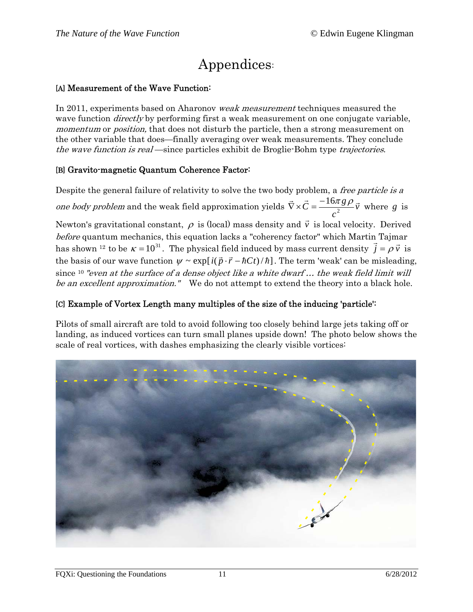# Appendices:

#### [A] Measurement of the Wave Function:

In 2011, experiments based on Aharonov weak measurement techniques measured the wave function *directly* by performing first a weak measurement on one conjugate variable, momentum or *position*, that does not disturb the particle, then a strong measurement on the other variable that does—finally averaging over weak measurements. They conclude the wave function is real—since particles exhibit de Broglie-Bohm type trajectories.

#### [B] Gravito-magnetic Quantum Coherence Factor:

Despite the general failure of relativity to solve the two body problem, a *free particle is a* one body problem and the weak field approximation yields  $\nabla \times \vec{C} = \frac{10\pi}{3} \vec{v}$ *c*  $\vec{\nabla} \times \vec{C} = \frac{-16\pi g \rho}{a^2} \vec{v}$  where *g* is Newton's gravitational constant,  $\rho$  is (local) mass density and  $\vec{v}$  is local velocity. Derived before quantum mechanics, this equation lacks a "coherency factor" which Martin Tajmar has shown <sup>12</sup> to be  $\kappa = 10^{31}$ . The physical field induced by mass current density  $\vec{j} = \rho \vec{v}$  is the basis of our wave function  $\psi \sim \exp[i(\vec{p} \cdot \vec{r} - \hbar C t)/\hbar]$ . The term 'weak' can be misleading, since <sup>10</sup> "even at the surface of a dense object like a white dwarf... the weak field limit will be an excellent approximation." We do not attempt to extend the theory into a black hole.

#### ] Example of Vortex Length many multiples of the size of the inducing 'particle': [C

Pilots of small aircraft are told to avoid following too closely behind large jets taking off or landing, as induced vortices can turn small planes upside down! The photo below shows the scale of real vortices, with dashes emphasizing the clearly visible vortices: